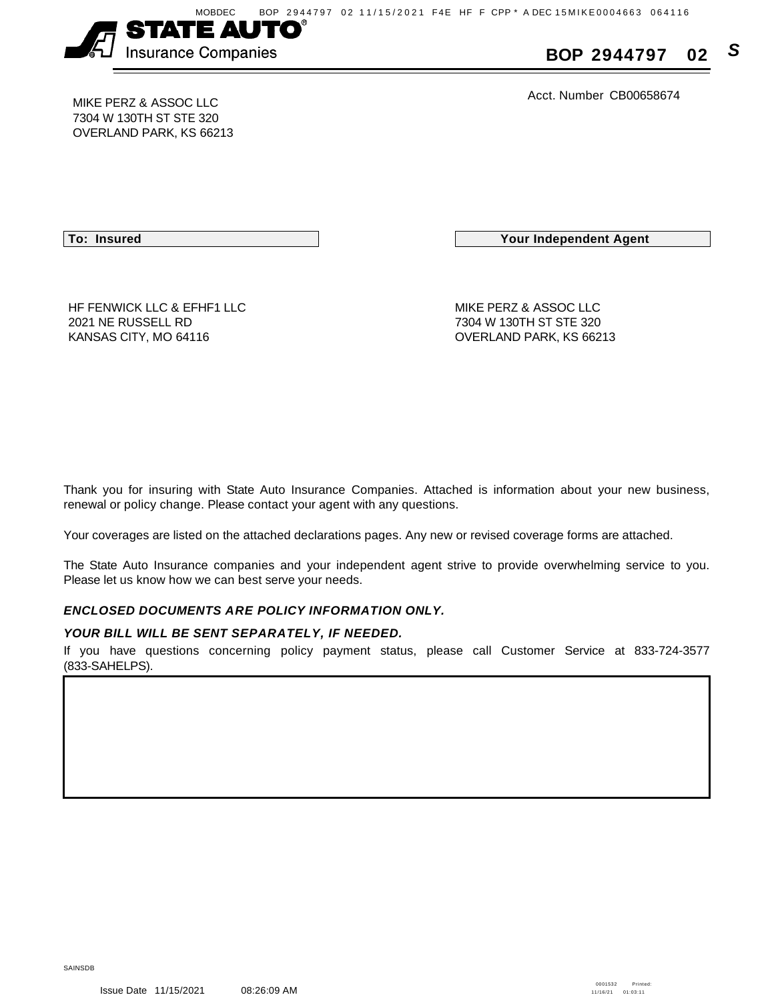

**BOP 2944797 02 S**

Acct. Number CB00658674 MIKE PERZ & ASSOC LLC

7304 W 130TH ST STE 320 OVERLAND PARK, KS 66213

**To: Insured Your Independent Agent**

HF FENWICK LLC & EFHF1 LLC MIKE PERZ & ASSOC LLC 2021 NE RUSSELL RD 7304 W 130TH ST STE 320 KANSAS CITY, MO 64116 **CONSERVITY, MO 64116** CONSERVITY, MO 64116

Thank you for insuring with State Auto Insurance Companies. Attached is information about your new business, renewal or policy change. Please contact your agent with any questions.

Your coverages are listed on the attached declarations pages. Any new or revised coverage forms are attached.

The State Auto Insurance companies and your independent agent strive to provide overwhelming service to you. Please let us know how we can best serve your needs.

## **ENCLOSED DOCUMENTS ARE POLICY INFORMATION ONLY.**

## **YOUR BILL WILL BE SENT SEPARATELY, IF NEEDED.**

If you have questions concerning policy payment status, please call Customer Service at 833-724-3577 (833-SAHELPS).